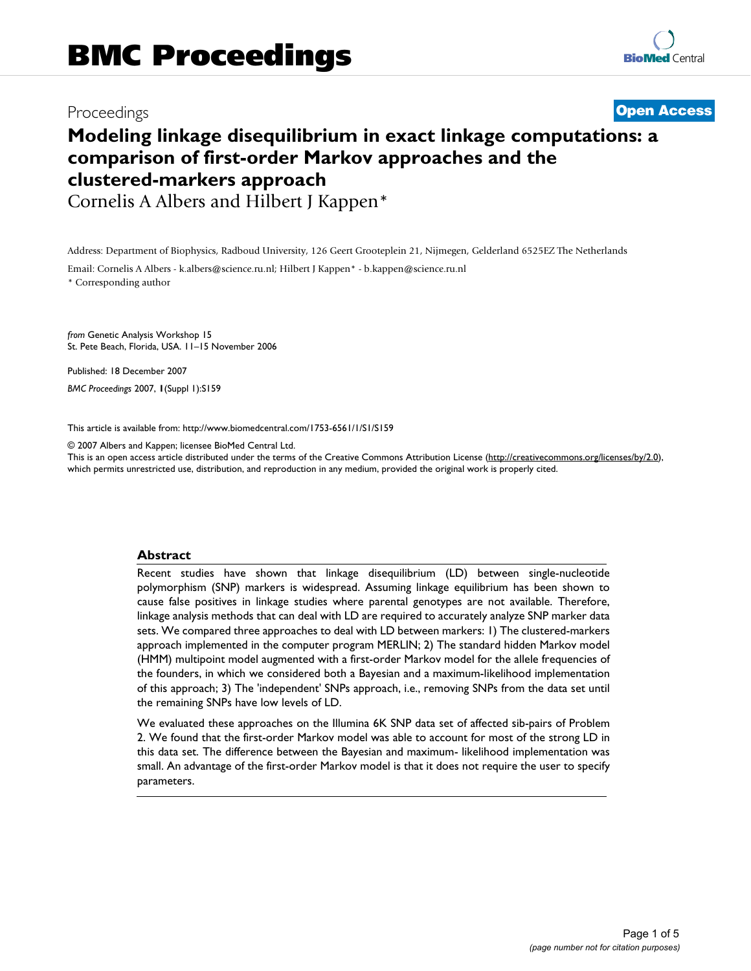## Proceedings **[Open Access](http://www.biomedcentral.com/info/about/charter/)**

# **Modeling linkage disequilibrium in exact linkage computations: a comparison of first-order Markov approaches and the clustered-markers approach**

Cornelis A Albers and Hilbert J Kappen\*

Address: Department of Biophysics, Radboud University, 126 Geert Grooteplein 21, Nijmegen, Gelderland 6525EZ The Netherlands Email: Cornelis A Albers - k.albers@science.ru.nl; Hilbert J Kappen\* - b.kappen@science.ru.nl \* Corresponding author

*from* Genetic Analysis Workshop 15 St. Pete Beach, Florida, USA. 11–15 November 2006

Published: 18 December 2007 *BMC Proceedings* 2007, **1**(Suppl 1):S159

[This article is available from: http://www.biomedcentral.com/1753-6561/1/S1/S159](http://www.biomedcentral.com/1753-6561/1/S1/S159)

© 2007 Albers and Kappen; licensee BioMed Central Ltd.

This is an open access article distributed under the terms of the Creative Commons Attribution License [\(http://creativecommons.org/licenses/by/2.0\)](http://creativecommons.org/licenses/by/2.0), which permits unrestricted use, distribution, and reproduction in any medium, provided the original work is properly cited.

#### **Abstract**

Recent studies have shown that linkage disequilibrium (LD) between single-nucleotide polymorphism (SNP) markers is widespread. Assuming linkage equilibrium has been shown to cause false positives in linkage studies where parental genotypes are not available. Therefore, linkage analysis methods that can deal with LD are required to accurately analyze SNP marker data sets. We compared three approaches to deal with LD between markers: 1) The clustered-markers approach implemented in the computer program MERLIN; 2) The standard hidden Markov model (HMM) multipoint model augmented with a first-order Markov model for the allele frequencies of the founders, in which we considered both a Bayesian and a maximum-likelihood implementation of this approach; 3) The 'independent' SNPs approach, i.e., removing SNPs from the data set until the remaining SNPs have low levels of LD.

We evaluated these approaches on the Illumina 6K SNP data set of affected sib-pairs of Problem 2. We found that the first-order Markov model was able to account for most of the strong LD in this data set. The difference between the Bayesian and maximum- likelihood implementation was small. An advantage of the first-order Markov model is that it does not require the user to specify parameters.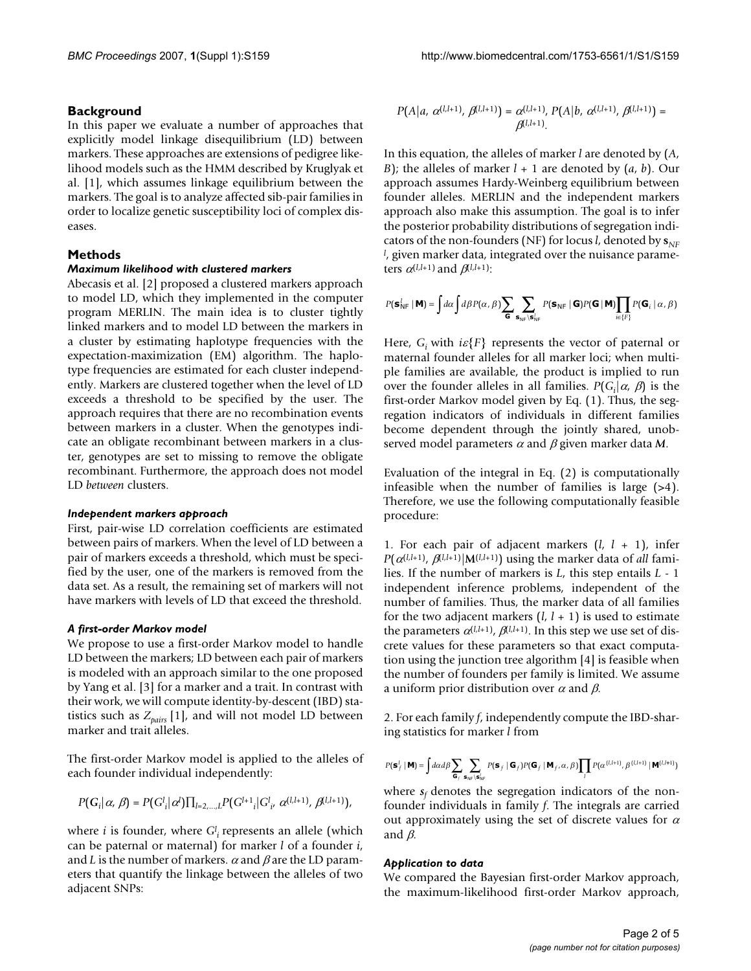#### **Background**

In this paper we evaluate a number of approaches that explicitly model linkage disequilibrium (LD) between markers. These approaches are extensions of pedigree likelihood models such as the HMM described by Kruglyak et al. [1], which assumes linkage equilibrium between the markers. The goal is to analyze affected sib-pair families in order to localize genetic susceptibility loci of complex diseases.

#### **Methods**

#### *Maximum likelihood with clustered markers*

Abecasis et al. [2] proposed a clustered markers approach to model LD, which they implemented in the computer program MERLIN. The main idea is to cluster tightly linked markers and to model LD between the markers in a cluster by estimating haplotype frequencies with the expectation-maximization (EM) algorithm. The haplotype frequencies are estimated for each cluster independently. Markers are clustered together when the level of LD exceeds a threshold to be specified by the user. The approach requires that there are no recombination events between markers in a cluster. When the genotypes indicate an obligate recombinant between markers in a cluster, genotypes are set to missing to remove the obligate recombinant. Furthermore, the approach does not model LD *between* clusters.

#### *Independent markers approach*

First, pair-wise LD correlation coefficients are estimated between pairs of markers. When the level of LD between a pair of markers exceeds a threshold, which must be specified by the user, one of the markers is removed from the data set. As a result, the remaining set of markers will not have markers with levels of LD that exceed the threshold.

#### *A first-order Markov model*

We propose to use a first-order Markov model to handle LD between the markers; LD between each pair of markers is modeled with an approach similar to the one proposed by Yang et al. [3] for a marker and a trait. In contrast with their work, we will compute identity-by-descent (IBD) statistics such as  $Z_{pairs}$  [1], and will not model LD between marker and trait alleles.

The first-order Markov model is applied to the alleles of each founder individual independently:

$$
P\big(\bm{G}_i \big|\, \alpha,\,\beta\big) = P\big(\bm{G}_i^l \big|\,\alpha^l\big) \prod_{l=2,...,L} P\big(\bm{G}^{l+1}{}_i \big| \bm{G}^{l}_{i^{\prime}} \ \alpha^{(l,l+1)},\,\beta^{(l,l+1)}\big),
$$

where *i* is founder, where  $G_i^l$  represents an allele (which can be paternal or maternal) for marker *l* of a founder *i*, and *L* is the number of markers.  $\alpha$  and  $\beta$  are the LD parameters that quantify the linkage between the alleles of two adjacent SNPs:

$$
P(A|a, \alpha^{(l,l+1)}, \beta^{(l,l+1)}) = \alpha^{(l,l+1)}, P(A|b, \alpha^{(l,l+1)}, \beta^{(l,l+1)}) = \beta^{(l,l+1)}.
$$

In this equation, the alleles of marker *l* are denoted by (*A*, *B*); the alleles of marker  $l + 1$  are denoted by  $(a, b)$ . Our approach assumes Hardy-Weinberg equilibrium between founder alleles. MERLIN and the independent markers approach also make this assumption. The goal is to infer the posterior probability distributions of segregation indicators of the non-founders (NF) for locus *l*, denoted by  $\mathbf{s}_{\text{MF}}$ *l* , given marker data, integrated over the nuisance parameters  $\alpha^{(l,l+1)}$  and  $\beta^{(l,l+1)}$ :

$$
P(\textbf{S}_{\text{NF}}^l \mid \textbf{M}) = \int d\alpha \int d\beta P(\alpha, \beta) \sum_{\textbf{G}} \sum_{\textbf{s}_{\text{NF}} \mid \textbf{S}_{\text{NF}}^l} P(\textbf{s}_{\text{NF}} \mid \textbf{G}) P(\textbf{G} \mid \textbf{M}) \prod_{i \in \{F\}} P(\textbf{G}_i \mid \alpha, \beta)
$$

Here,  $G_i$  with  $i\varepsilon$ {*F*} represents the vector of paternal or maternal founder alleles for all marker loci; when multiple families are available, the product is implied to run over the founder alleles in all families.  $P(G_i | \alpha, \beta)$  is the first-order Markov model given by Eq. (1). Thus, the segregation indicators of individuals in different families become dependent through the jointly shared, unobserved model parameters <sup>α</sup> and β given marker data *M*.

Evaluation of the integral in Eq. (2) is computationally infeasible when the number of families is large (>4). Therefore, we use the following computationally feasible procedure:

1. For each pair of adjacent markers (*l*, *l* + 1), infer *P*( $\alpha^{(l,l+1)}$ ,  $\beta^{(l,l+1)}$ ]**M**( $^{l,l+1}$ )) using the marker data of *all* families. If the number of markers is *L*, this step entails *L* - 1 independent inference problems, independent of the number of families. Thus, the marker data of all families for the two adjacent markers  $(l, l + 1)$  is used to estimate the parameters  $\alpha^{(l,l+1)}$ ,  $\beta^{(l,l+1)}$ . In this step we use set of discrete values for these parameters so that exact computation using the junction tree algorithm [4] is feasible when the number of founders per family is limited. We assume a uniform prior distribution over  $\alpha$  and  $\beta$ .

2. For each family *f*, independently compute the IBD-sharing statistics for marker *l* from

$$
P(\textbf{s}^l_f \mid \textbf{M}) = \int d\alpha d\beta \sum_{\textbf{G}_f} \sum_{\textbf{s}_{\text{NP}} \mid \textbf{s}^l_{\text{NP}}} P(\textbf{s}_f \mid \textbf{G}_f) P(\textbf{G}_f \mid \textbf{M}_f, \alpha, \beta) \prod_i P(\alpha^{(l,i+1)}, \beta^{(l,i+1)} \mid \textbf{M}^{(l,i+1)})
$$

where  $s_f$  denotes the segregation indicators of the nonfounder individuals in family *f*. The integrals are carried out approximately using the set of discrete values for  $\alpha$ and  $\beta$ .

#### *Application to data*

We compared the Bayesian first-order Markov approach, the maximum-likelihood first-order Markov approach,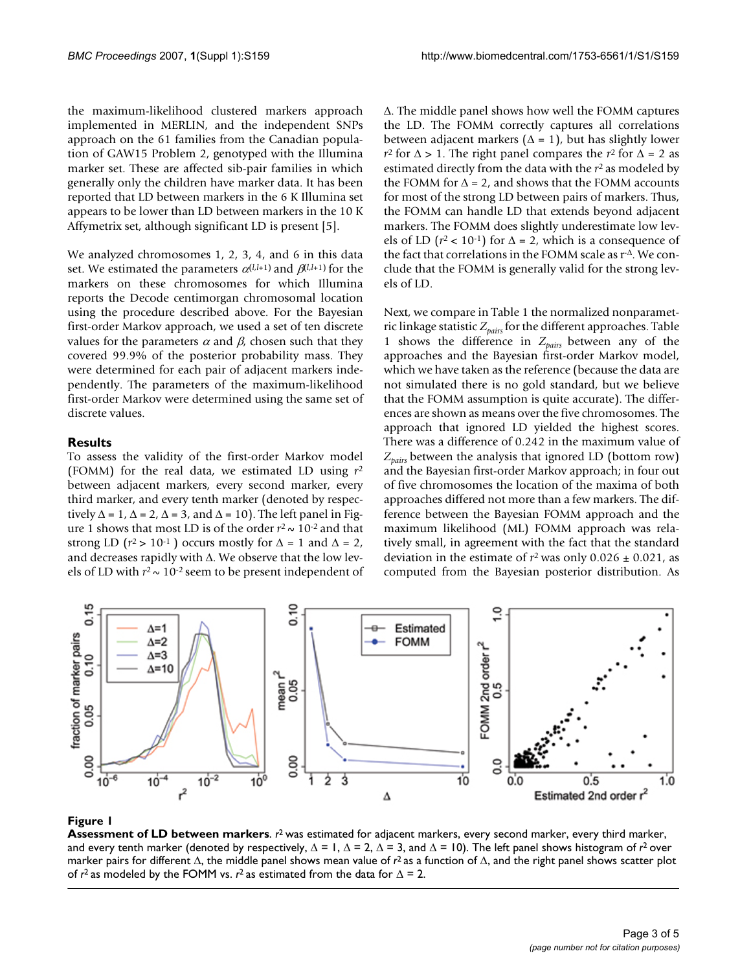the maximum-likelihood clustered markers approach implemented in MERLIN, and the independent SNPs approach on the 61 families from the Canadian population of GAW15 Problem 2, genotyped with the Illumina marker set. These are affected sib-pair families in which generally only the children have marker data. It has been reported that LD between markers in the 6 K Illumina set appears to be lower than LD between markers in the 10 K Affymetrix set, although significant LD is present [5].

We analyzed chromosomes 1, 2, 3, 4, and 6 in this data set. We estimated the parameters  $\alpha^{(l,l+1)}$  and  $\beta^{(l,l+1)}$  for the markers on these chromosomes for which Illumina reports the Decode centimorgan chromosomal location using the procedure described above. For the Bayesian first-order Markov approach, we used a set of ten discrete values for the parameters  $\alpha$  and  $\beta$ , chosen such that they covered 99.9% of the posterior probability mass. They were determined for each pair of adjacent markers independently. The parameters of the maximum-likelihood first-order Markov were determined using the same set of discrete values.

#### **Results**

To assess the validity of the first-order Markov model (FOMM) for the real data, we estimated LD using *r*<sup>2</sup> between adjacent markers, every second marker, every third marker, and every tenth marker (denoted by respectively  $\Delta = 1$ ,  $\Delta = 2$ ,  $\Delta = 3$ , and  $\Delta = 10$ ). The left panel in Figure 1 shows that most LD is of the order  $r^2 \sim 10^{-2}$  and that strong LD ( $r^2 > 10^{-1}$ ) occurs mostly for  $\Delta = 1$  and  $\Delta = 2$ , and decreases rapidly with Δ. We observe that the low levels of LD with  $r^2 \sim 10^{-2}$  seem to be present independent of Δ. The middle panel shows how well the FOMM captures the LD. The FOMM correctly captures all correlations between adjacent markers ( $\Delta = 1$ ), but has slightly lower *r*<sup>2</sup> for  $\Delta$  > 1. The right panel compares the *r*<sup>2</sup> for  $\Delta$  = 2 as estimated directly from the data with the *r*2 as modeled by the FOMM for  $\Delta = 2$ , and shows that the FOMM accounts for most of the strong LD between pairs of markers. Thus, the FOMM can handle LD that extends beyond adjacent markers. The FOMM does slightly underestimate low levels of LD ( $r^2$  < 10<sup>-1</sup>) for  $\Delta$  = 2, which is a consequence of the fact that correlations in the FOMM scale as r-Δ. We conclude that the FOMM is generally valid for the strong levels of LD.

Next, we compare in Table 1 the normalized nonparametric linkage statistic *Zpairs* for the different approaches. Table 1 shows the difference in *Zpairs* between any of the approaches and the Bayesian first-order Markov model, which we have taken as the reference (because the data are not simulated there is no gold standard, but we believe that the FOMM assumption is quite accurate). The differences are shown as means over the five chromosomes. The approach that ignored LD yielded the highest scores. There was a difference of 0.242 in the maximum value of *Zpairs* between the analysis that ignored LD (bottom row) and the Bayesian first-order Markov approach; in four out of five chromosomes the location of the maxima of both approaches differed not more than a few markers. The difference between the Bayesian FOMM approach and the maximum likelihood (ML) FOMM approach was relatively small, in agreement with the fact that the standard deviation in the estimate of  $r^2$  was only  $0.026 \pm 0.021$ , as computed from the Bayesian posterior distribution. As



#### **Figure 1**

**Assessment of LD between markers**. *r*2 was estimated for adjacent markers, every second marker, every third marker, and every tenth marker (denoted by respectively,  $\Delta = 1$ ,  $\Delta = 2$ ,  $\Delta = 3$ , and  $\Delta = 10$ ). The left panel shows histogram of  $r^2$  over marker pairs for different Δ, the middle panel shows mean value of *r*2 as a function of Δ, and the right panel shows scatter plot of  $r^2$  as modeled by the FOMM vs.  $r^2$  as estimated from the data for  $\Delta = 2$ .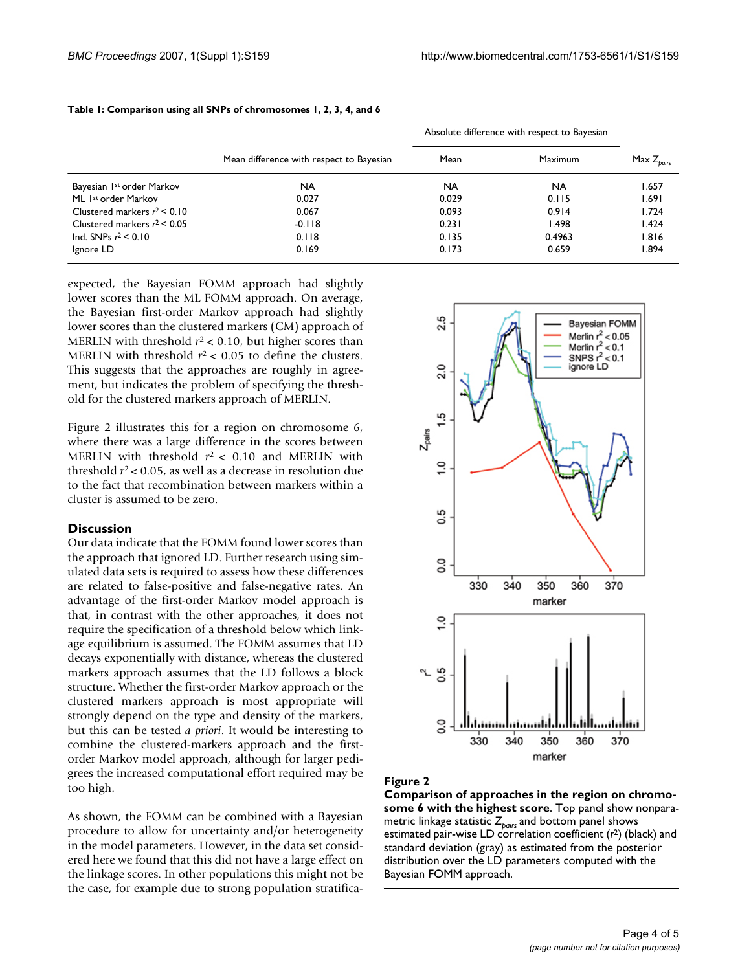|                                |                                          | Absolute difference with respect to Bayesian |           |                 |
|--------------------------------|------------------------------------------|----------------------------------------------|-----------|-----------------|
|                                | Mean difference with respect to Bayesian | Mean                                         | Maximum   | Max $Z_{pairs}$ |
| Bayesian 1st order Markov      | <b>NA</b>                                | <b>NA</b>                                    | <b>NA</b> | 1.657           |
| ML Ist order Markov            | 0.027                                    | 0.029                                        | 0.115     | 1.691           |
| Clustered markers $r^2$ < 0.10 | 0.067                                    | 0.093                                        | 0.914     | 1.724           |
| Clustered markers $r^2$ < 0.05 | $-0.118$                                 | 0.231                                        | 1.498     | 1.424           |
| Ind. SNPs $r^2$ < 0.10         | 0.118                                    | 0.135                                        | 0.4963    | 1.816           |
| Ignore LD                      | 0.169                                    | 0.173                                        | 0.659     | 1.894           |

#### **Table 1: Comparison using all SNPs of chromosomes 1, 2, 3, 4, and 6**

expected, the Bayesian FOMM approach had slightly lower scores than the ML FOMM approach. On average, the Bayesian first-order Markov approach had slightly lower scores than the clustered markers (CM) approach of MERLIN with threshold  $r^2$  < 0.10, but higher scores than MERLIN with threshold  $r^2$  < 0.05 to define the clusters. This suggests that the approaches are roughly in agreement, but indicates the problem of specifying the threshold for the clustered markers approach of MERLIN.

Figure 2 illustrates this for a region on chromosome 6, where there was a large difference in the scores between MERLIN with threshold  $r^2$  < 0.10 and MERLIN with threshold  $r^2$  < 0.05, as well as a decrease in resolution due to the fact that recombination between markers within a cluster is assumed to be zero.

#### **Discussion**

Our data indicate that the FOMM found lower scores than the approach that ignored LD. Further research using simulated data sets is required to assess how these differences are related to false-positive and false-negative rates. An advantage of the first-order Markov model approach is that, in contrast with the other approaches, it does not require the specification of a threshold below which linkage equilibrium is assumed. The FOMM assumes that LD decays exponentially with distance, whereas the clustered markers approach assumes that the LD follows a block structure. Whether the first-order Markov approach or the clustered markers approach is most appropriate will strongly depend on the type and density of the markers, but this can be tested *a priori*. It would be interesting to combine the clustered-markers approach and the firstorder Markov model approach, although for larger pedigrees the increased computational effort required may be too high.

As shown, the FOMM can be combined with a Bayesian procedure to allow for uncertainty and/or heterogeneity in the model parameters. However, in the data set considered here we found that this did not have a large effect on the linkage scores. In other populations this might not be the case, for example due to strong population stratifica-



#### Figure 2

**Comparison of approaches in the region on chromosome 6 with the highest score**. Top panel show nonparametric linkage statistic Z<sub>pairs</sub> and bottom panel shows estimated pair-wise LD correlation coefficient (*r*2) (black) and standard deviation (gray) as estimated from the posterior distribution over the LD parameters computed with the Bayesian FOMM approach.